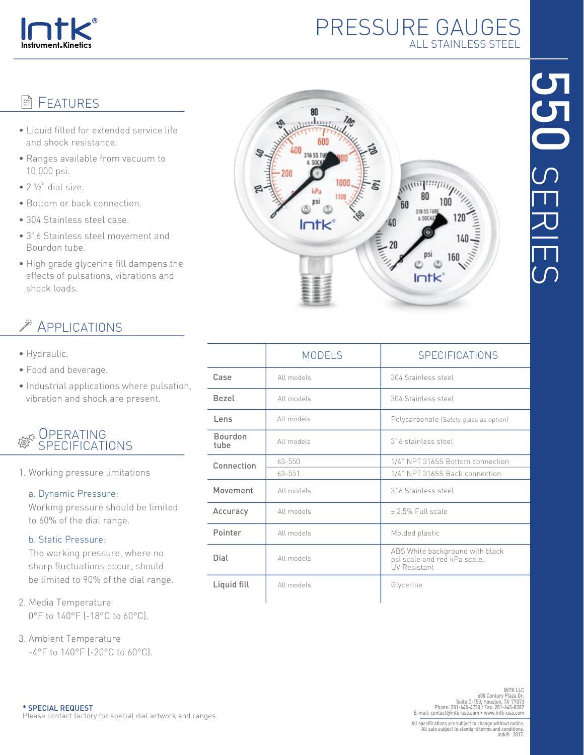

## PRESSURE GAUGES ALL STAINLESS STEEL

*<u>Aprilline</u>* 80

> 316 SS TUB e onnici

 $Intk$ 

60

20

 $100$ 

**RN** 

122.11

 $Intk$ 

# 55<br>50 SERIES

|                        | <b>MODELS</b> | <b>SPECIFICATIONS</b>                                                                  |  |  |  |
|------------------------|---------------|----------------------------------------------------------------------------------------|--|--|--|
| Case                   | All models    | 304 Stainless steel                                                                    |  |  |  |
| Bezel                  | All models    | 304 Stainless steel                                                                    |  |  |  |
| Lens                   | All models    | Polycarbonate (Safety glass as option)                                                 |  |  |  |
| <b>Bourdon</b><br>tube | All models    | 316 stainless steel                                                                    |  |  |  |
| Connection             | $63 - 550$    | 1/4" NPT 316SS Bottom connection                                                       |  |  |  |
|                        | $63 - 551$    | 1/4" NPT 316SS Back connection                                                         |  |  |  |
| Movement               | All models    | 316 Stainless steel                                                                    |  |  |  |
| Accuracy               | All models    | $+25%$ Full scale                                                                      |  |  |  |
| Pointer                | All models    | Molded plastic                                                                         |  |  |  |
| Dial                   | All models    | ABS White background with black<br>psi scale and red kPa scale,<br><b>UV Resistant</b> |  |  |  |
| Liquid fill            | All models    | Glycerine                                                                              |  |  |  |

## **目 FFATURFS**

- Liquid filled for extended service life and shock resistance.
- Ranges available from vacuum to 10,000 psi.
- $\bullet$  2  $\frac{1}{2}$ " dial size.
- Bottom or back connection.
- 304 Stainless steel case.
- 316 Stainless steel movement and Bourdon tube.
- High grade glycerine fill dampens the effects of pulsations, vibrations and shock loads.

# APPLICATIONS

- Hydraulic.
- Food and beverage.
- Industrial applications where pulsation, vibration and shock are present.

#### **OPERATING** SPECIFICATIONS

1. Working pressure limitations

#### a. Dynamic Pressure:

 Working pressure should be limited to 60% of the dial range.

#### b. Static Pressure:

 The working pressure, where no sharp fluctuations occur, should be limited to 90% of the dial range.

- 2. Media Temperature 0°F to 140°F (-18°C to 60°C).
- 3. Ambient Temperature -4°F to 140°F (-20°C to 60°C).